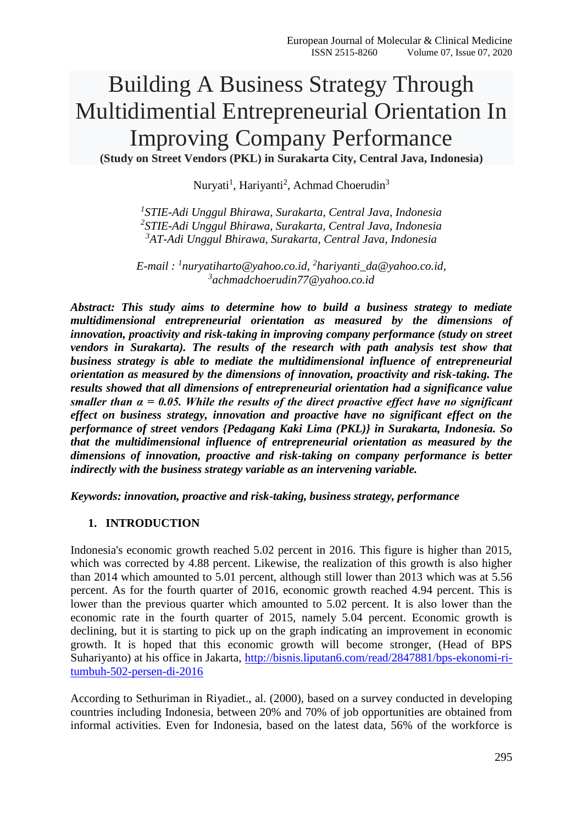# Building A Business Strategy Through Multidimential Entrepreneurial Orientation In Improving Company Performance **(Study on Street Vendors (PKL) in Surakarta City, Central Java, Indonesia)**

Nuryati<sup>1</sup>, Hariyanti<sup>2</sup>, Achmad Choerudin<sup>3</sup>

*1 STIE-Adi Unggul Bhirawa, Surakarta, Central Java, Indonesia 2 STIE-Adi Unggul Bhirawa, Surakarta, Central Java, Indonesia <sup>3</sup>AT-Adi Unggul Bhirawa, Surakarta, Central Java, Indonesia*

*E-mail : <sup>1</sup> [nuryatiharto@yahoo.co.id,](mailto:nuryatiharto@yahoo.co.id1) 2 [hariyanti\\_da@yahoo.co.id,](mailto:2hariyanti_da@yahoo.co.id) 3 [achmadchoerudin77@yahoo.co.id](mailto:achmadchoerudin77@yahoo.co.id)*

*Abstract: This study aims to determine how to build a business strategy to mediate multidimensional entrepreneurial orientation as measured by the dimensions of innovation, proactivity and risk-taking in improving company performance (study on street vendors in Surakarta). The results of the research with path analysis test show that business strategy is able to mediate the multidimensional influence of entrepreneurial orientation as measured by the dimensions of innovation, proactivity and risk-taking. The results showed that all dimensions of entrepreneurial orientation had a significance value smaller than α = 0.05. While the results of the direct proactive effect have no significant effect on business strategy, innovation and proactive have no significant effect on the performance of street vendors {Pedagang Kaki Lima (PKL)} in Surakarta, Indonesia. So that the multidimensional influence of entrepreneurial orientation as measured by the dimensions of innovation, proactive and risk-taking on company performance is better indirectly with the business strategy variable as an intervening variable.*

*Keywords: innovation, proactive and risk-taking, business strategy, performance*

#### **1. INTRODUCTION**

Indonesia's economic growth reached 5.02 percent in 2016. This figure is higher than 2015, which was corrected by 4.88 percent. Likewise, the realization of this growth is also higher than 2014 which amounted to 5.01 percent, although still lower than 2013 which was at 5.56 percent. As for the fourth quarter of 2016, economic growth reached 4.94 percent. This is lower than the previous quarter which amounted to 5.02 percent. It is also lower than the economic rate in the fourth quarter of 2015, namely 5.04 percent. Economic growth is declining, but it is starting to pick up on the graph indicating an improvement in economic growth. It is hoped that this economic growth will become stronger, (Head of BPS Suhariyanto) at his office in Jakarta, [http://bisnis.liputan6.com/read/2847881/bps-ekonomi-ri](http://bisnis.liputan6.com/read/2847881/bps-ekonomi-ri-tumbuh-502-persen-di-2016)[tumbuh-502-persen-di-2016](http://bisnis.liputan6.com/read/2847881/bps-ekonomi-ri-tumbuh-502-persen-di-2016)

According to Sethuriman in Riyadiet., al. (2000), based on a survey conducted in developing countries including Indonesia, between 20% and 70% of job opportunities are obtained from informal activities. Even for Indonesia, based on the latest data, 56% of the workforce is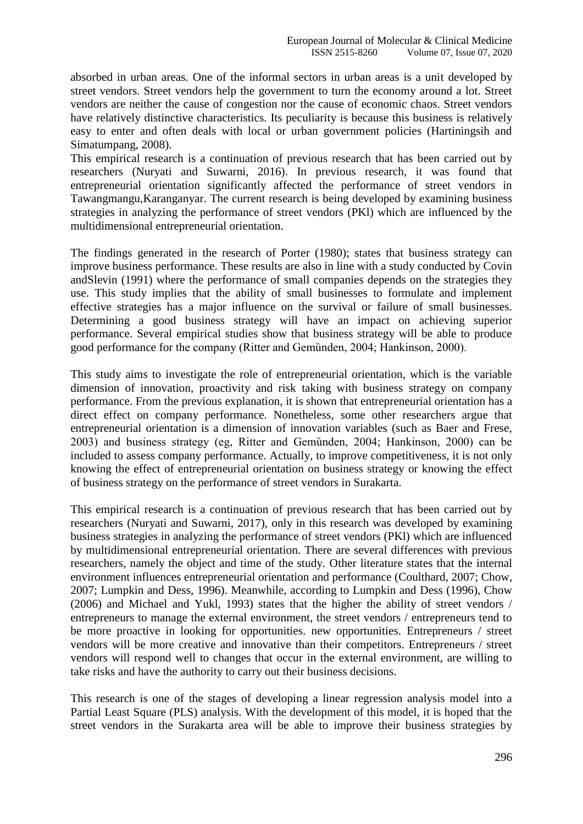absorbed in urban areas. One of the informal sectors in urban areas is a unit developed by street vendors. Street vendors help the government to turn the economy around a lot. Street vendors are neither the cause of congestion nor the cause of economic chaos. Street vendors have relatively distinctive characteristics. Its peculiarity is because this business is relatively easy to enter and often deals with local or urban government policies (Hartiningsih and Simatumpang, 2008).

This empirical research is a continuation of previous research that has been carried out by researchers (Nuryati and Suwarni, 2016). In previous research, it was found that entrepreneurial orientation significantly affected the performance of street vendors in Tawangmangu,Karanganyar. The current research is being developed by examining business strategies in analyzing the performance of street vendors (PKl) which are influenced by the multidimensional entrepreneurial orientation.

The findings generated in the research of Porter (1980); states that business strategy can improve business performance. These results are also in line with a study conducted by Covin andSlevin (1991) where the performance of small companies depends on the strategies they use. This study implies that the ability of small businesses to formulate and implement effective strategies has a major influence on the survival or failure of small businesses. Determining a good business strategy will have an impact on achieving superior performance. Several empirical studies show that business strategy will be able to produce good performance for the company (Ritter and Gemünden, 2004; Hankinson, 2000).

This study aims to investigate the role of entrepreneurial orientation, which is the variable dimension of innovation, proactivity and risk taking with business strategy on company performance. From the previous explanation, it is shown that entrepreneurial orientation has a direct effect on company performance. Nonetheless, some other researchers argue that entrepreneurial orientation is a dimension of innovation variables (such as Baer and Frese, 2003) and business strategy (eg, Ritter and Gemȕnden, 2004; Hankinson, 2000) can be included to assess company performance. Actually, to improve competitiveness, it is not only knowing the effect of entrepreneurial orientation on business strategy or knowing the effect of business strategy on the performance of street vendors in Surakarta.

This empirical research is a continuation of previous research that has been carried out by researchers (Nuryati and Suwarni, 2017), only in this research was developed by examining business strategies in analyzing the performance of street vendors (PKl) which are influenced by multidimensional entrepreneurial orientation. There are several differences with previous researchers, namely the object and time of the study. Other literature states that the internal environment influences entrepreneurial orientation and performance (Coulthard, 2007; Chow, 2007; Lumpkin and Dess, 1996). Meanwhile, according to Lumpkin and Dess (1996), Chow (2006) and Michael and Yukl, 1993) states that the higher the ability of street vendors / entrepreneurs to manage the external environment, the street vendors / entrepreneurs tend to be more proactive in looking for opportunities. new opportunities. Entrepreneurs / street vendors will be more creative and innovative than their competitors. Entrepreneurs / street vendors will respond well to changes that occur in the external environment, are willing to take risks and have the authority to carry out their business decisions.

This research is one of the stages of developing a linear regression analysis model into a Partial Least Square (PLS) analysis. With the development of this model, it is hoped that the street vendors in the Surakarta area will be able to improve their business strategies by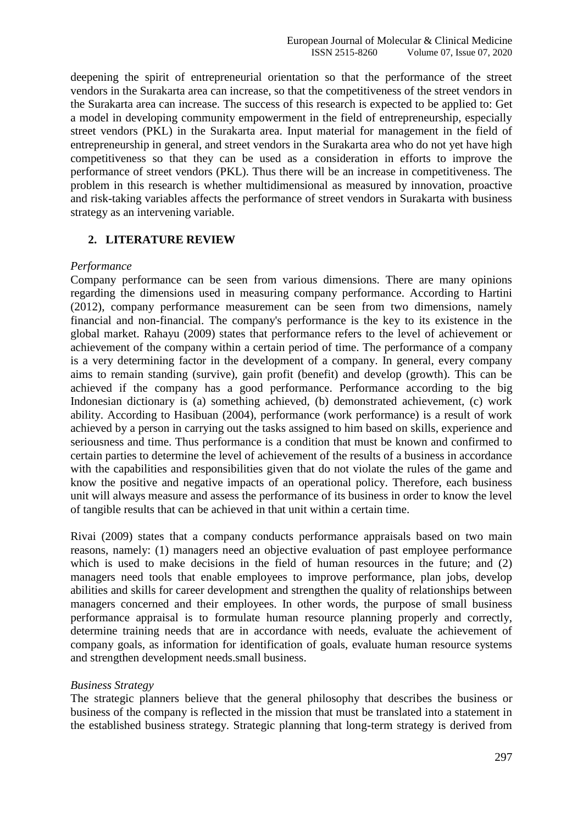deepening the spirit of entrepreneurial orientation so that the performance of the street vendors in the Surakarta area can increase, so that the competitiveness of the street vendors in the Surakarta area can increase. The success of this research is expected to be applied to: Get a model in developing community empowerment in the field of entrepreneurship, especially street vendors (PKL) in the Surakarta area. Input material for management in the field of entrepreneurship in general, and street vendors in the Surakarta area who do not yet have high competitiveness so that they can be used as a consideration in efforts to improve the performance of street vendors (PKL). Thus there will be an increase in competitiveness. The problem in this research is whether multidimensional as measured by innovation, proactive and risk-taking variables affects the performance of street vendors in Surakarta with business strategy as an intervening variable.

## **2. LITERATURE REVIEW**

#### *Performance*

Company performance can be seen from various dimensions. There are many opinions regarding the dimensions used in measuring company performance. According to Hartini (2012), company performance measurement can be seen from two dimensions, namely financial and non-financial. The company's performance is the key to its existence in the global market. Rahayu (2009) states that performance refers to the level of achievement or achievement of the company within a certain period of time. The performance of a company is a very determining factor in the development of a company. In general, every company aims to remain standing (survive), gain profit (benefit) and develop (growth). This can be achieved if the company has a good performance. Performance according to the big Indonesian dictionary is (a) something achieved, (b) demonstrated achievement, (c) work ability. According to Hasibuan (2004), performance (work performance) is a result of work achieved by a person in carrying out the tasks assigned to him based on skills, experience and seriousness and time. Thus performance is a condition that must be known and confirmed to certain parties to determine the level of achievement of the results of a business in accordance with the capabilities and responsibilities given that do not violate the rules of the game and know the positive and negative impacts of an operational policy. Therefore, each business unit will always measure and assess the performance of its business in order to know the level of tangible results that can be achieved in that unit within a certain time.

Rivai (2009) states that a company conducts performance appraisals based on two main reasons, namely: (1) managers need an objective evaluation of past employee performance which is used to make decisions in the field of human resources in the future; and (2) managers need tools that enable employees to improve performance, plan jobs, develop abilities and skills for career development and strengthen the quality of relationships between managers concerned and their employees. In other words, the purpose of small business performance appraisal is to formulate human resource planning properly and correctly, determine training needs that are in accordance with needs, evaluate the achievement of company goals, as information for identification of goals, evaluate human resource systems and strengthen development needs.small business.

#### *Business Strategy*

The strategic planners believe that the general philosophy that describes the business or business of the company is reflected in the mission that must be translated into a statement in the established business strategy. Strategic planning that long-term strategy is derived from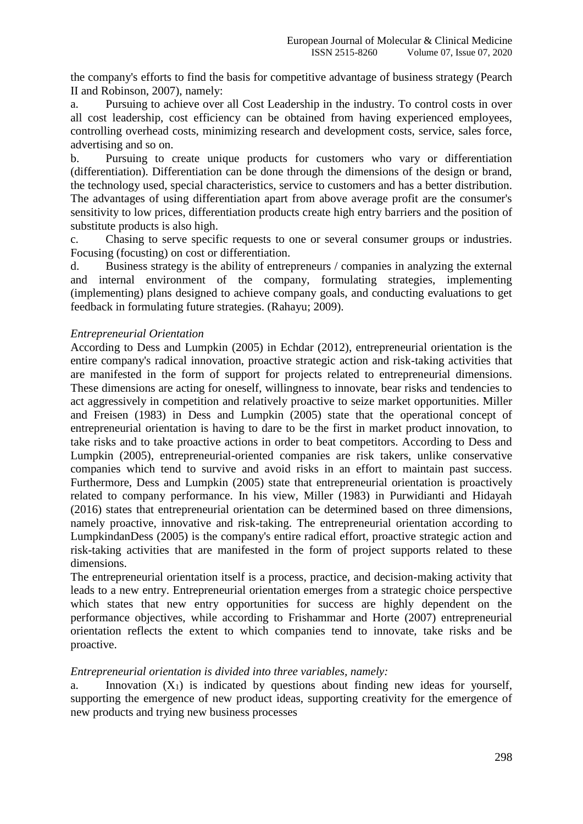the company's efforts to find the basis for competitive advantage of business strategy (Pearch II and Robinson, 2007), namely:

a. Pursuing to achieve over all Cost Leadership in the industry. To control costs in over all cost leadership, cost efficiency can be obtained from having experienced employees, controlling overhead costs, minimizing research and development costs, service, sales force, advertising and so on.

b. Pursuing to create unique products for customers who vary or differentiation (differentiation). Differentiation can be done through the dimensions of the design or brand, the technology used, special characteristics, service to customers and has a better distribution. The advantages of using differentiation apart from above average profit are the consumer's sensitivity to low prices, differentiation products create high entry barriers and the position of substitute products is also high.

c. Chasing to serve specific requests to one or several consumer groups or industries. Focusing (focusting) on cost or differentiation.

d. Business strategy is the ability of entrepreneurs / companies in analyzing the external and internal environment of the company, formulating strategies, implementing (implementing) plans designed to achieve company goals, and conducting evaluations to get feedback in formulating future strategies. (Rahayu; 2009).

## *Entrepreneurial Orientation*

According to Dess and Lumpkin (2005) in Echdar (2012), entrepreneurial orientation is the entire company's radical innovation, proactive strategic action and risk-taking activities that are manifested in the form of support for projects related to entrepreneurial dimensions. These dimensions are acting for oneself, willingness to innovate, bear risks and tendencies to act aggressively in competition and relatively proactive to seize market opportunities. Miller and Freisen (1983) in Dess and Lumpkin (2005) state that the operational concept of entrepreneurial orientation is having to dare to be the first in market product innovation, to take risks and to take proactive actions in order to beat competitors. According to Dess and Lumpkin (2005), entrepreneurial-oriented companies are risk takers, unlike conservative companies which tend to survive and avoid risks in an effort to maintain past success. Furthermore, Dess and Lumpkin (2005) state that entrepreneurial orientation is proactively related to company performance. In his view, Miller (1983) in Purwidianti and Hidayah (2016) states that entrepreneurial orientation can be determined based on three dimensions, namely proactive, innovative and risk-taking. The entrepreneurial orientation according to LumpkindanDess (2005) is the company's entire radical effort, proactive strategic action and risk-taking activities that are manifested in the form of project supports related to these dimensions.

The entrepreneurial orientation itself is a process, practice, and decision-making activity that leads to a new entry. Entrepreneurial orientation emerges from a strategic choice perspective which states that new entry opportunities for success are highly dependent on the performance objectives, while according to Frishammar and Horte (2007) entrepreneurial orientation reflects the extent to which companies tend to innovate, take risks and be proactive.

# *Entrepreneurial orientation is divided into three variables, namely:*

a. Innovation  $(X_1)$  is indicated by questions about finding new ideas for yourself, supporting the emergence of new product ideas, supporting creativity for the emergence of new products and trying new business processes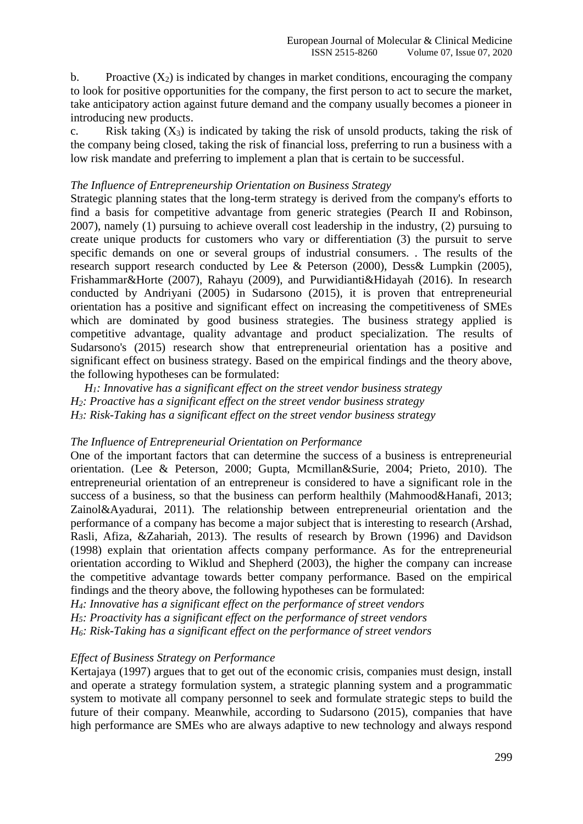b. Proactive  $(X_2)$  is indicated by changes in market conditions, encouraging the company to look for positive opportunities for the company, the first person to act to secure the market, take anticipatory action against future demand and the company usually becomes a pioneer in introducing new products.

c. Risk taking  $(X_3)$  is indicated by taking the risk of unsold products, taking the risk of the company being closed, taking the risk of financial loss, preferring to run a business with a low risk mandate and preferring to implement a plan that is certain to be successful.

#### *The Influence of Entrepreneurship Orientation on Business Strategy*

Strategic planning states that the long-term strategy is derived from the company's efforts to find a basis for competitive advantage from generic strategies (Pearch II and Robinson, 2007), namely (1) pursuing to achieve overall cost leadership in the industry, (2) pursuing to create unique products for customers who vary or differentiation (3) the pursuit to serve specific demands on one or several groups of industrial consumers. . The results of the research support research conducted by Lee & Peterson (2000), Dess& Lumpkin (2005), Frishammar&Horte (2007), Rahayu (2009), and Purwidianti&Hidayah (2016). In research conducted by Andriyani (2005) in Sudarsono (2015), it is proven that entrepreneurial orientation has a positive and significant effect on increasing the competitiveness of SMEs which are dominated by good business strategies. The business strategy applied is competitive advantage, quality advantage and product specialization. The results of Sudarsono's (2015) research show that entrepreneurial orientation has a positive and significant effect on business strategy. Based on the empirical findings and the theory above, the following hypotheses can be formulated:

*H1: Innovative has a significant effect on the street vendor business strategy H2: Proactive has a significant effect on the street vendor business strategy H3: Risk-Taking has a significant effect on the street vendor business strategy*

#### *The Influence of Entrepreneurial Orientation on Performance*

One of the important factors that can determine the success of a business is entrepreneurial orientation. (Lee & Peterson, 2000; Gupta, Mcmillan&Surie, 2004; Prieto, 2010). The entrepreneurial orientation of an entrepreneur is considered to have a significant role in the success of a business, so that the business can perform healthily (Mahmood&Hanafi, 2013; Zainol&Ayadurai, 2011). The relationship between entrepreneurial orientation and the performance of a company has become a major subject that is interesting to research (Arshad, Rasli, Afiza, &Zahariah, 2013). The results of research by Brown (1996) and Davidson (1998) explain that orientation affects company performance. As for the entrepreneurial orientation according to Wiklud and Shepherd (2003), the higher the company can increase the competitive advantage towards better company performance. Based on the empirical findings and the theory above, the following hypotheses can be formulated:

*H4: Innovative has a significant effect on the performance of street vendors H5: Proactivity has a significant effect on the performance of street vendors H6: Risk-Taking has a significant effect on the performance of street vendors*

#### *Effect of Business Strategy on Performance*

Kertajaya (1997) argues that to get out of the economic crisis, companies must design, install and operate a strategy formulation system, a strategic planning system and a programmatic system to motivate all company personnel to seek and formulate strategic steps to build the future of their company. Meanwhile, according to Sudarsono (2015), companies that have high performance are SMEs who are always adaptive to new technology and always respond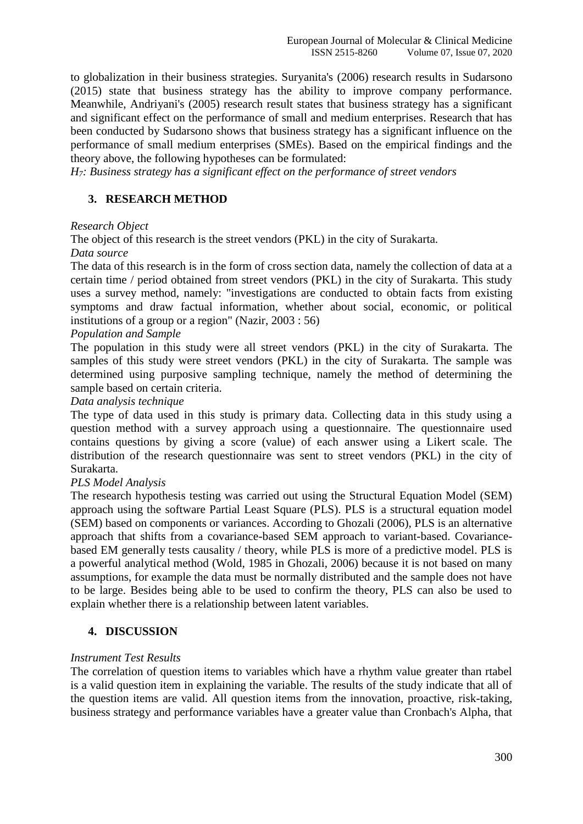to globalization in their business strategies. Suryanita's (2006) research results in Sudarsono (2015) state that business strategy has the ability to improve company performance. Meanwhile, Andriyani's (2005) research result states that business strategy has a significant and significant effect on the performance of small and medium enterprises. Research that has been conducted by Sudarsono shows that business strategy has a significant influence on the performance of small medium enterprises (SMEs). Based on the empirical findings and the theory above, the following hypotheses can be formulated:

*H7: Business strategy has a significant effect on the performance of street vendors*

# **3. RESEARCH METHOD**

#### *Research Object*

The object of this research is the street vendors (PKL) in the city of Surakarta.

#### *Data source*

The data of this research is in the form of cross section data, namely the collection of data at a certain time / period obtained from street vendors (PKL) in the city of Surakarta. This study uses a survey method, namely: "investigations are conducted to obtain facts from existing symptoms and draw factual information, whether about social, economic, or political institutions of a group or a region" (Nazir, 2003 : 56)

## *Population and Sample*

The population in this study were all street vendors (PKL) in the city of Surakarta. The samples of this study were street vendors (PKL) in the city of Surakarta. The sample was determined using purposive sampling technique, namely the method of determining the sample based on certain criteria.

#### *Data analysis technique*

The type of data used in this study is primary data. Collecting data in this study using a question method with a survey approach using a questionnaire. The questionnaire used contains questions by giving a score (value) of each answer using a Likert scale. The distribution of the research questionnaire was sent to street vendors (PKL) in the city of Surakarta.

#### *PLS Model Analysis*

The research hypothesis testing was carried out using the Structural Equation Model (SEM) approach using the software Partial Least Square (PLS). PLS is a structural equation model (SEM) based on components or variances. According to Ghozali (2006), PLS is an alternative approach that shifts from a covariance-based SEM approach to variant-based. Covariancebased EM generally tests causality / theory, while PLS is more of a predictive model. PLS is a powerful analytical method (Wold, 1985 in Ghozali, 2006) because it is not based on many assumptions, for example the data must be normally distributed and the sample does not have to be large. Besides being able to be used to confirm the theory, PLS can also be used to explain whether there is a relationship between latent variables.

# **4. DISCUSSION**

#### *Instrument Test Results*

The correlation of question items to variables which have a rhythm value greater than rtabel is a valid question item in explaining the variable. The results of the study indicate that all of the question items are valid. All question items from the innovation, proactive, risk-taking, business strategy and performance variables have a greater value than Cronbach's Alpha, that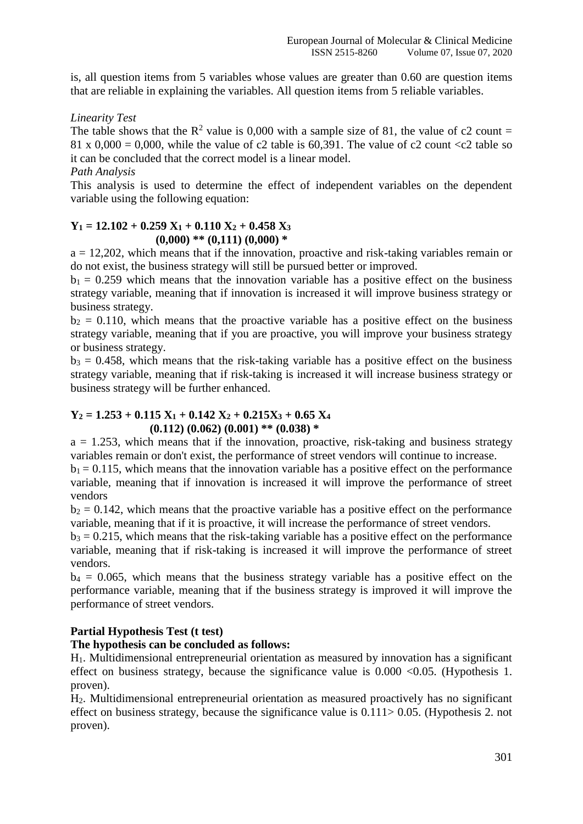is, all question items from 5 variables whose values are greater than 0.60 are question items that are reliable in explaining the variables. All question items from 5 reliable variables.

# *Linearity Test*

The table shows that the  $R^2$  value is 0,000 with a sample size of 81, the value of c2 count = 81 x 0,000 = 0,000, while the value of c2 table is 60,391. The value of c2 count  $\langle c2 \rangle$  table so it can be concluded that the correct model is a linear model.

## *Path Analysis*

This analysis is used to determine the effect of independent variables on the dependent variable using the following equation:

## **Y<sup>1</sup> = 12.102 + 0.259 X<sup>1</sup> + 0.110 X<sup>2</sup> + 0.458 X<sup>3</sup> (0,000) \*\* (0,111) (0,000) \***

 $a = 12,202$ , which means that if the innovation, proactive and risk-taking variables remain or do not exist, the business strategy will still be pursued better or improved.

 $b_1 = 0.259$  which means that the innovation variable has a positive effect on the business strategy variable, meaning that if innovation is increased it will improve business strategy or business strategy.

 $b_2 = 0.110$ , which means that the proactive variable has a positive effect on the business strategy variable, meaning that if you are proactive, you will improve your business strategy or business strategy.

 $b_3 = 0.458$ , which means that the risk-taking variable has a positive effect on the business strategy variable, meaning that if risk-taking is increased it will increase business strategy or business strategy will be further enhanced.

## **Y<sup>2</sup> = 1.253 + 0.115 X<sup>1</sup> + 0.142 X<sup>2</sup> + 0.215X<sup>3</sup> + 0.65 X<sup>4</sup> (0.112) (0.062) (0.001) \*\* (0.038) \***

 $a = 1.253$ , which means that if the innovation, proactive, risk-taking and business strategy variables remain or don't exist, the performance of street vendors will continue to increase.

 $b_1 = 0.115$ , which means that the innovation variable has a positive effect on the performance variable, meaning that if innovation is increased it will improve the performance of street vendors

 $b_2 = 0.142$ , which means that the proactive variable has a positive effect on the performance variable, meaning that if it is proactive, it will increase the performance of street vendors.

 $b_3 = 0.215$ , which means that the risk-taking variable has a positive effect on the performance variable, meaning that if risk-taking is increased it will improve the performance of street vendors.

 $b_4 = 0.065$ , which means that the business strategy variable has a positive effect on the performance variable, meaning that if the business strategy is improved it will improve the performance of street vendors.

# **Partial Hypothesis Test (t test)**

# **The hypothesis can be concluded as follows:**

H1. Multidimensional entrepreneurial orientation as measured by innovation has a significant effect on business strategy, because the significance value is  $0.000 < 0.05$ . (Hypothesis 1. proven).

H2. Multidimensional entrepreneurial orientation as measured proactively has no significant effect on business strategy, because the significance value is 0.111> 0.05. (Hypothesis 2. not proven).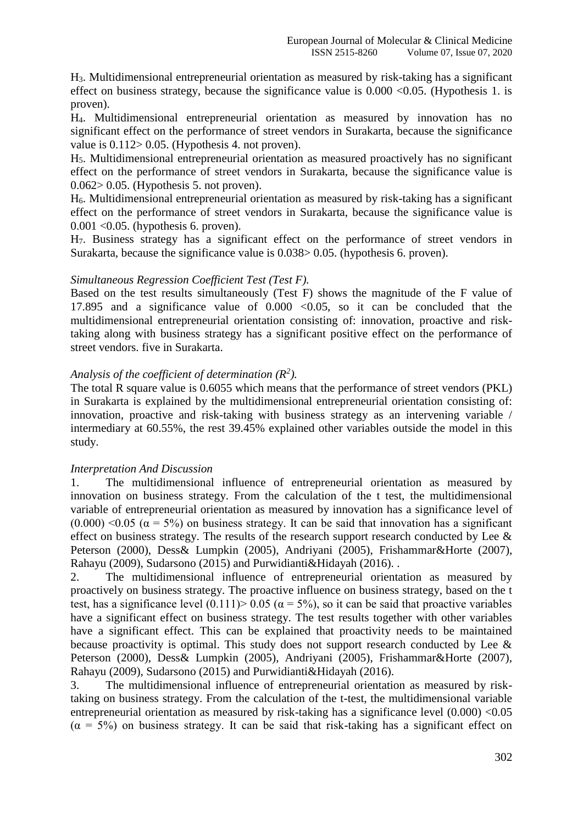H3. Multidimensional entrepreneurial orientation as measured by risk-taking has a significant effect on business strategy, because the significance value is  $0.000 < 0.05$ . (Hypothesis 1. is proven).

H4. Multidimensional entrepreneurial orientation as measured by innovation has no significant effect on the performance of street vendors in Surakarta, because the significance value is 0.112> 0.05. (Hypothesis 4. not proven).

H5. Multidimensional entrepreneurial orientation as measured proactively has no significant effect on the performance of street vendors in Surakarta, because the significance value is 0.062> 0.05. (Hypothesis 5. not proven).

H6. Multidimensional entrepreneurial orientation as measured by risk-taking has a significant effect on the performance of street vendors in Surakarta, because the significance value is 0.001 <0.05. (hypothesis 6. proven).

H7. Business strategy has a significant effect on the performance of street vendors in Surakarta, because the significance value is 0.038> 0.05. (hypothesis 6. proven).

#### *Simultaneous Regression Coefficient Test (Test F).*

Based on the test results simultaneously (Test F) shows the magnitude of the F value of 17.895 and a significance value of  $0.000 < 0.05$ , so it can be concluded that the multidimensional entrepreneurial orientation consisting of: innovation, proactive and risktaking along with business strategy has a significant positive effect on the performance of street vendors. five in Surakarta.

# *Analysis of the coefficient of determination (R<sup>2</sup> ).*

The total R square value is 0.6055 which means that the performance of street vendors (PKL) in Surakarta is explained by the multidimensional entrepreneurial orientation consisting of: innovation, proactive and risk-taking with business strategy as an intervening variable / intermediary at 60.55%, the rest 39.45% explained other variables outside the model in this study.

#### *Interpretation And Discussion*

1. The multidimensional influence of entrepreneurial orientation as measured by innovation on business strategy. From the calculation of the t test, the multidimensional variable of entrepreneurial orientation as measured by innovation has a significance level of  $(0.000)$  <0.05 ( $\alpha$  = 5%) on business strategy. It can be said that innovation has a significant effect on business strategy. The results of the research support research conducted by Lee  $\&$ Peterson (2000), Dess& Lumpkin (2005), Andriyani (2005), Frishammar&Horte (2007), Rahayu (2009), Sudarsono (2015) and Purwidianti&Hidayah (2016). .

2. The multidimensional influence of entrepreneurial orientation as measured by proactively on business strategy. The proactive influence on business strategy, based on the t test, has a significance level  $(0.111)$  > 0.05 ( $\alpha$  = 5%), so it can be said that proactive variables have a significant effect on business strategy. The test results together with other variables have a significant effect. This can be explained that proactivity needs to be maintained because proactivity is optimal. This study does not support research conducted by Lee  $\&$ Peterson (2000), Dess& Lumpkin (2005), Andriyani (2005), Frishammar&Horte (2007), Rahayu (2009), Sudarsono (2015) and Purwidianti&Hidayah (2016).

3. The multidimensional influence of entrepreneurial orientation as measured by risktaking on business strategy. From the calculation of the t-test, the multidimensional variable entrepreneurial orientation as measured by risk-taking has a significance level  $(0.000)$  < 0.05  $(\alpha = 5\%)$  on business strategy. It can be said that risk-taking has a significant effect on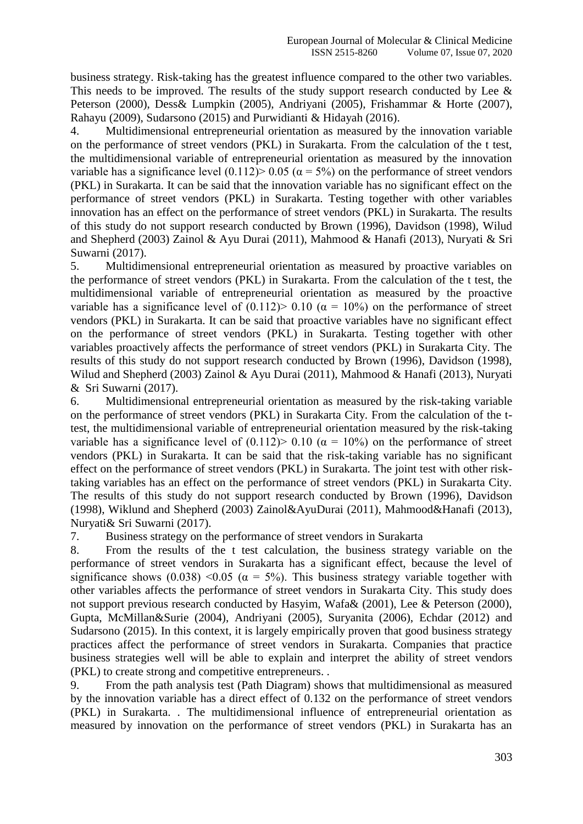business strategy. Risk-taking has the greatest influence compared to the other two variables. This needs to be improved. The results of the study support research conducted by Lee  $\&$ Peterson (2000), Dess& Lumpkin (2005), Andriyani (2005), Frishammar & Horte (2007), Rahayu (2009), Sudarsono (2015) and Purwidianti & Hidayah (2016).

4. Multidimensional entrepreneurial orientation as measured by the innovation variable on the performance of street vendors (PKL) in Surakarta. From the calculation of the t test, the multidimensional variable of entrepreneurial orientation as measured by the innovation variable has a significance level  $(0.112)$  > 0.05 ( $\alpha$  = 5%) on the performance of street vendors (PKL) in Surakarta. It can be said that the innovation variable has no significant effect on the performance of street vendors (PKL) in Surakarta. Testing together with other variables innovation has an effect on the performance of street vendors (PKL) in Surakarta. The results of this study do not support research conducted by Brown (1996), Davidson (1998), Wilud and Shepherd (2003) Zainol & Ayu Durai (2011), Mahmood & Hanafi (2013), Nuryati & Sri Suwarni (2017).

5. Multidimensional entrepreneurial orientation as measured by proactive variables on the performance of street vendors (PKL) in Surakarta. From the calculation of the t test, the multidimensional variable of entrepreneurial orientation as measured by the proactive variable has a significance level of  $(0.112)$  > 0.10 ( $\alpha$  = 10%) on the performance of street vendors (PKL) in Surakarta. It can be said that proactive variables have no significant effect on the performance of street vendors (PKL) in Surakarta. Testing together with other variables proactively affects the performance of street vendors (PKL) in Surakarta City. The results of this study do not support research conducted by Brown (1996), Davidson (1998), Wilud and Shepherd (2003) Zainol & Ayu Durai (2011), Mahmood & Hanafi (2013), Nuryati & Sri Suwarni (2017).

6. Multidimensional entrepreneurial orientation as measured by the risk-taking variable on the performance of street vendors (PKL) in Surakarta City. From the calculation of the ttest, the multidimensional variable of entrepreneurial orientation measured by the risk-taking variable has a significance level of  $(0.112)$  > 0.10 ( $\alpha$  = 10%) on the performance of street vendors (PKL) in Surakarta. It can be said that the risk-taking variable has no significant effect on the performance of street vendors (PKL) in Surakarta. The joint test with other risktaking variables has an effect on the performance of street vendors (PKL) in Surakarta City. The results of this study do not support research conducted by Brown (1996), Davidson (1998), Wiklund and Shepherd (2003) Zainol&AyuDurai (2011), Mahmood&Hanafi (2013), Nuryati& Sri Suwarni (2017).

7. Business strategy on the performance of street vendors in Surakarta

8. From the results of the t test calculation, the business strategy variable on the performance of street vendors in Surakarta has a significant effect, because the level of significance shows (0.038) <0.05 ( $\alpha$  = 5%). This business strategy variable together with other variables affects the performance of street vendors in Surakarta City. This study does not support previous research conducted by Hasyim, Wafa& (2001), Lee & Peterson (2000), Gupta, McMillan&Surie (2004), Andriyani (2005), Suryanita (2006), Echdar (2012) and Sudarsono (2015). In this context, it is largely empirically proven that good business strategy practices affect the performance of street vendors in Surakarta. Companies that practice business strategies well will be able to explain and interpret the ability of street vendors (PKL) to create strong and competitive entrepreneurs. .

9. From the path analysis test (Path Diagram) shows that multidimensional as measured by the innovation variable has a direct effect of 0.132 on the performance of street vendors (PKL) in Surakarta. . The multidimensional influence of entrepreneurial orientation as measured by innovation on the performance of street vendors (PKL) in Surakarta has an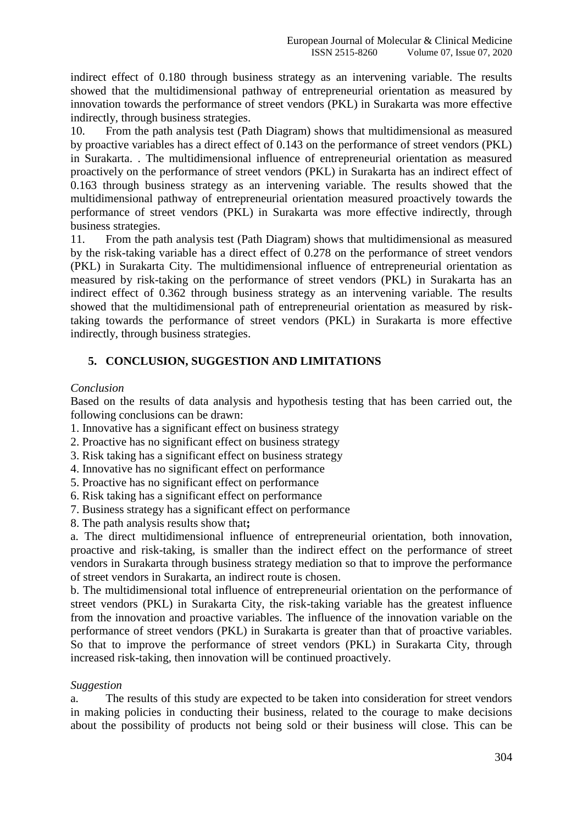indirect effect of 0.180 through business strategy as an intervening variable. The results showed that the multidimensional pathway of entrepreneurial orientation as measured by innovation towards the performance of street vendors (PKL) in Surakarta was more effective indirectly, through business strategies.

10. From the path analysis test (Path Diagram) shows that multidimensional as measured by proactive variables has a direct effect of 0.143 on the performance of street vendors (PKL) in Surakarta. . The multidimensional influence of entrepreneurial orientation as measured proactively on the performance of street vendors (PKL) in Surakarta has an indirect effect of 0.163 through business strategy as an intervening variable. The results showed that the multidimensional pathway of entrepreneurial orientation measured proactively towards the performance of street vendors (PKL) in Surakarta was more effective indirectly, through business strategies.

11. From the path analysis test (Path Diagram) shows that multidimensional as measured by the risk-taking variable has a direct effect of 0.278 on the performance of street vendors (PKL) in Surakarta City. The multidimensional influence of entrepreneurial orientation as measured by risk-taking on the performance of street vendors (PKL) in Surakarta has an indirect effect of 0.362 through business strategy as an intervening variable. The results showed that the multidimensional path of entrepreneurial orientation as measured by risktaking towards the performance of street vendors (PKL) in Surakarta is more effective indirectly, through business strategies.

# **5. CONCLUSION, SUGGESTION AND LIMITATIONS**

#### *Conclusion*

Based on the results of data analysis and hypothesis testing that has been carried out, the following conclusions can be drawn:

- 1. Innovative has a significant effect on business strategy
- 2. Proactive has no significant effect on business strategy
- 3. Risk taking has a significant effect on business strategy
- 4. Innovative has no significant effect on performance
- 5. Proactive has no significant effect on performance
- 6. Risk taking has a significant effect on performance
- 7. Business strategy has a significant effect on performance
- 8. The path analysis results show that**;**

a. The direct multidimensional influence of entrepreneurial orientation, both innovation, proactive and risk-taking, is smaller than the indirect effect on the performance of street vendors in Surakarta through business strategy mediation so that to improve the performance of street vendors in Surakarta, an indirect route is chosen.

b. The multidimensional total influence of entrepreneurial orientation on the performance of street vendors (PKL) in Surakarta City, the risk-taking variable has the greatest influence from the innovation and proactive variables. The influence of the innovation variable on the performance of street vendors (PKL) in Surakarta is greater than that of proactive variables. So that to improve the performance of street vendors (PKL) in Surakarta City, through increased risk-taking, then innovation will be continued proactively.

#### *Suggestion*

a. The results of this study are expected to be taken into consideration for street vendors in making policies in conducting their business, related to the courage to make decisions about the possibility of products not being sold or their business will close. This can be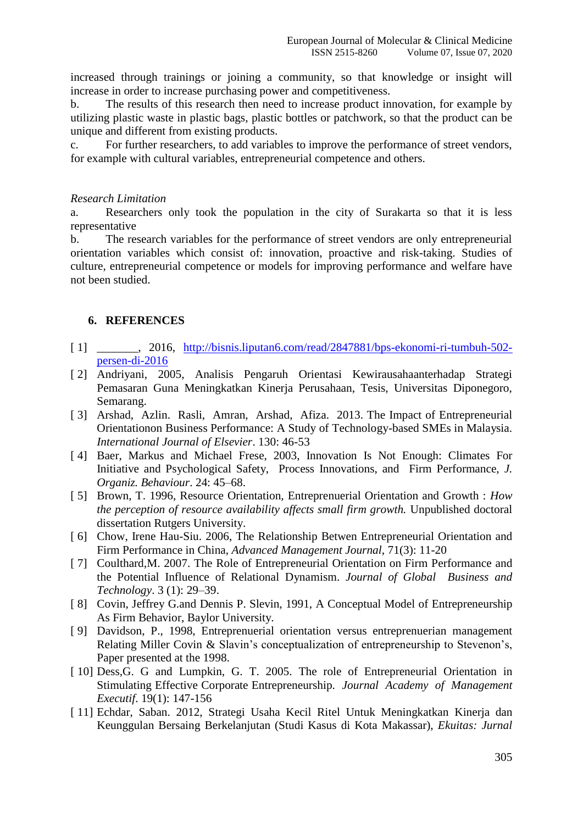increased through trainings or joining a community, so that knowledge or insight will increase in order to increase purchasing power and competitiveness.

b. The results of this research then need to increase product innovation, for example by utilizing plastic waste in plastic bags, plastic bottles or patchwork, so that the product can be unique and different from existing products.

c. For further researchers, to add variables to improve the performance of street vendors, for example with cultural variables, entrepreneurial competence and others.

#### *Research Limitation*

a. Researchers only took the population in the city of Surakarta so that it is less representative

b. The research variables for the performance of street vendors are only entrepreneurial orientation variables which consist of: innovation, proactive and risk-taking. Studies of culture, entrepreneurial competence or models for improving performance and welfare have not been studied.

## **6. REFERENCES**

- [1] \_\_\_\_\_\_, 2016, [http://bisnis.liputan6.com/read/2847881/bps-ekonomi-ri-tumbuh-502](http://bisnis.liputan6.com/read/2847881/bps-ekonomi-ri-tumbuh-502-persen-di-2016) [persen-di-2016](http://bisnis.liputan6.com/read/2847881/bps-ekonomi-ri-tumbuh-502-persen-di-2016)
- [ 2] Andriyani, 2005, Analisis Pengaruh Orientasi Kewirausahaanterhadap Strategi Pemasaran Guna Meningkatkan Kinerja Perusahaan, Tesis, Universitas Diponegoro, Semarang.
- [ 3] Arshad, Azlin. Rasli, Amran, Arshad, Afiza. 2013. The Impact of Entrepreneurial Orientationon Business Performance: A Study of Technology-based SMEs in Malaysia. *International Journal of Elsevier*. 130: 46-53
- [ 4] Baer, Markus and Michael Frese, 2003, Innovation Is Not Enough: Climates For Initiative and Psychological Safety, Process Innovations, and Firm Performance, *J. Organiz. Behaviour*. 24: 45–68.
- [ 5] Brown, T. 1996, Resource Orientation, Entreprenuerial Orientation and Growth : *How the perception of resource availability affects small firm growth.* Unpublished doctoral dissertation Rutgers University.
- [6] Chow, Irene Hau-Siu. 2006, The Relationship Betwen Entrepreneurial Orientation and Firm Performance in China, *Advanced Management Journal*, 71(3): 11-20
- [ 7] Coulthard,M. 2007. The Role of Entrepreneurial Orientation on Firm Performance and the Potential Influence of Relational Dynamism. *Journal of Global Business and Technology*. 3 (1): 29–39.
- [8] Covin, Jeffrey G.and Dennis P. Slevin, 1991, A Conceptual Model of Entrepreneurship As Firm Behavior, Baylor University.
- [ 9] Davidson, P., 1998, Entreprenuerial orientation versus entreprenuerian management Relating Miller Covin & Slavin's conceptualization of entrepreneurship to Stevenon's, Paper presented at the 1998.
- [ 10] Dess, G. G and Lumpkin, G. T. 2005. The role of Entrepreneurial Orientation in Stimulating Effective Corporate Entrepreneurship. *Journal Academy of Management Executif*. 19(1): 147-156
- [ 11] Echdar, Saban. 2012, Strategi Usaha Kecil Ritel Untuk Meningkatkan Kinerja dan Keunggulan Bersaing Berkelanjutan (Studi Kasus di Kota Makassar), *Ekuitas: Jurnal*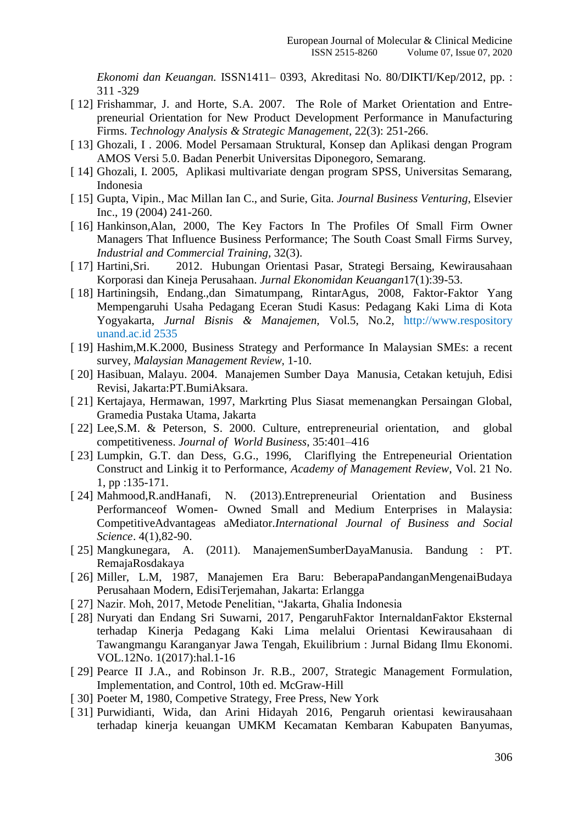*Ekonomi dan Keuangan.* ISSN1411– 0393, Akreditasi No. 80/DIKTI/Kep/2012, pp. : 311 -329

- [ 12] Frishammar, J. and Horte, S.A. 2007. The Role of Market Orientation and Entrepreneurial Orientation for New Product Development Performance in Manufacturing Firms. *Technology Analysis & Strategic Management,* 22(3): 251-266.
- [ 13] Ghozali, I . 2006. Model Persamaan Struktural, Konsep dan Aplikasi dengan Program AMOS Versi 5.0. Badan Penerbit Universitas Diponegoro, Semarang.
- [ 14] Ghozali, I. 2005, Aplikasi multivariate dengan program SPSS, Universitas Semarang, Indonesia
- [ 15] Gupta, Vipin., Mac Millan Ian C., and Surie, Gita. *Journal Business Venturing*, Elsevier Inc., 19 (2004) 241-260.
- [ 16] Hankinson, Alan, 2000, The Key Factors In The Profiles Of Small Firm Owner Managers That Influence Business Performance; The South Coast Small Firms Survey, *Industrial and Commercial Training,* 32(3).
- [ 17] Hartini,Sri. 2012. Hubungan Orientasi Pasar, Strategi Bersaing, Kewirausahaan Korporasi dan Kineja Perusahaan. *Jurnal Ekonomidan Keuangan*17(1):39-53.
- [ 18] Hartiningsih, Endang.,dan Simatumpang, RintarAgus, 2008, Faktor-Faktor Yang Mempengaruhi Usaha Pedagang Eceran Studi Kasus: Pedagang Kaki Lima di Kota Yogyakarta, *Jurnal Bisnis & Manajemen,* Vol.5, No.2, [http://www.respository](http://www.respository/) unand.ac.id 2535
- [ 19] Hashim, M.K. 2000, Business Strategy and Performance In Malaysian SMEs: a recent survey, *Malaysian Management Review*, 1-10.
- [ 20] Hasibuan, Malayu. 2004. Manajemen Sumber Daya Manusia, Cetakan ketujuh, Edisi Revisi, Jakarta:PT.BumiAksara.
- [ 21] Kertajaya, Hermawan, 1997, Markrting Plus Siasat memenangkan Persaingan Global, Gramedia Pustaka Utama, Jakarta
- [ 22] Lee, S.M. & Peterson, S. 2000. Culture, entrepreneurial orientation, and global competitiveness. *Journal of World Business*, 35:401–416
- [ 23] Lumpkin, G.T. dan Dess, G.G., 1996, Clariflying the Entrepeneurial Orientation Construct and Linkig it to Performance, *Academy of Management Review*, Vol. 21 No. 1, pp :135-171.
- [ 24] Mahmood,R.andHanafi, N. (2013).Entrepreneurial Orientation and Business Performanceof Women- Owned Small and Medium Enterprises in Malaysia: CompetitiveAdvantageas aMediator.*International Journal of Business and Social Science*. 4(1),82-90.
- [ 25] Mangkunegara, A. (2011). ManajemenSumberDayaManusia. Bandung : PT. RemajaRosdakaya
- [ 26] Miller, L.M, 1987, Manajemen Era Baru: BeberapaPandanganMengenaiBudaya Perusahaan Modern, EdisiTerjemahan, Jakarta: Erlangga
- [ 27] Nazir. Moh, 2017, Metode Penelitian, "Jakarta, Ghalia Indonesia
- [ 28] Nuryati dan Endang Sri Suwarni, 2017, PengaruhFaktor InternaldanFaktor Eksternal terhadap Kinerja Pedagang Kaki Lima melalui Orientasi Kewirausahaan di Tawangmangu Karanganyar Jawa Tengah, Ekuilibrium : Jurnal Bidang Ilmu Ekonomi. VOL.12No. 1(2017):hal.1-16
- [ 29] Pearce II J.A., and Robinson Jr. R.B., 2007, Strategic Management Formulation, Implementation, and Control, 10th ed. McGraw-Hill
- [ 30] Poeter M, 1980, Competive Strategy, Free Press, New York
- [ 31] Purwidianti, Wida, dan Arini Hidayah 2016, Pengaruh orientasi kewirausahaan terhadap kinerja keuangan UMKM Kecamatan Kembaran Kabupaten Banyumas,